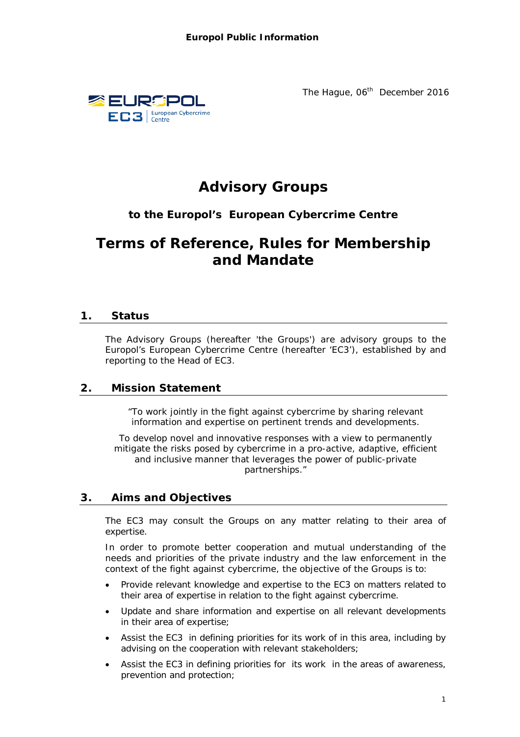

The Hague, 06<sup>th</sup> December 2016

# **Advisory Groups**

# **to the Europol's European Cybercrime Centre**

# **Terms of Reference, Rules for Membership and Mandate**

# **1. Status**

The Advisory Groups (hereafter 'the Groups') are advisory groups to the Europol's European Cybercrime Centre (hereafter 'EC3'), established by and reporting to the Head of EC3.

# **2. Mission Statement**

*"To work jointly in the fight against cybercrime by sharing relevant information and expertise on pertinent trends and developments.*

*To develop novel and innovative responses with a view to permanently mitigate the risks posed by cybercrime in a pro-active, adaptive, efficient and inclusive manner that leverages the power of public-private partnerships."*

# **3. Aims and Objectives**

The EC3 may consult the Groups on any matter relating to their area of expertise.

In order to promote better cooperation and mutual understanding of the needs and priorities of the private industry and the law enforcement in the context of the fight against cybercrime, the objective of the Groups is to:

- Provide relevant knowledge and expertise to the EC3 on matters related to their area of expertise in relation to the fight against cybercrime.
- Update and share information and expertise on all relevant developments in their area of expertise;
- Assist the EC3 in defining priorities for its work of in this area, including by advising on the cooperation with relevant stakeholders;
- Assist the EC3 in defining priorities for its work in the areas of awareness, prevention and protection;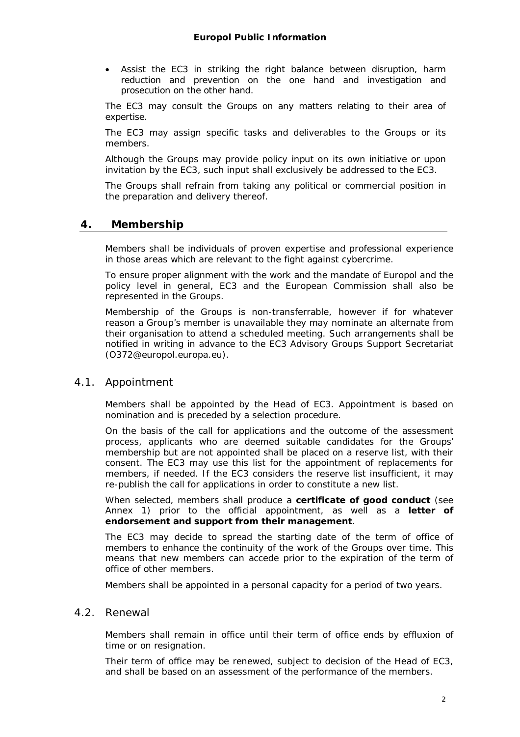Assist the EC3 in striking the right balance between disruption, harm reduction and prevention on the one hand and investigation and prosecution on the other hand.

The EC3 may consult the Groups on any matters relating to their area of expertise.

The EC3 may assign specific tasks and deliverables to the Groups or its members.

Although the Groups may provide policy input on its own initiative or upon invitation by the EC3, such input shall exclusively be addressed to the EC3.

The Groups shall refrain from taking any political or commercial position in the preparation and delivery thereof.

#### **4. Membership**

Members shall be individuals of proven expertise and professional experience in those areas which are relevant to the fight against cybercrime.

To ensure proper alignment with the work and the mandate of Europol and the policy level in general, EC3 and the European Commission shall also be represented in the Groups.

Membership of the Groups is non-transferrable, however if for whatever reason a Group's member is unavailable they may nominate an alternate from their organisation to attend a scheduled meeting. Such arrangements shall be notified in writing in advance to the EC3 Advisory Groups Support Secretariat [\(O372@europol.europa.eu\).](mailto:(O372@europol.europa.eu).)

#### 4.1. Appointment

Members shall be appointed by the Head of EC3. Appointment is based on nomination and is preceded by a selection procedure.

On the basis of the call for applications and the outcome of the assessment process, applicants who are deemed suitable candidates for the Groups' membership but are not appointed shall be placed on a reserve list, with their consent. The EC3 may use this list for the appointment of replacements for members, if needed. If the EC3 considers the reserve list insufficient, it may re-publish the call for applications in order to constitute a new list.

When selected, members shall produce a **certificate of good conduct** (see Annex 1) prior to the official appointment, as well as a **letter of endorsement and support from their management**.

The EC3 may decide to spread the starting date of the term of office of members to enhance the continuity of the work of the Groups over time. This means that new members can accede prior to the expiration of the term of office of other members.

Members shall be appointed in a personal capacity for a period of two years.

#### 4.2. Renewal

Members shall remain in office until their term of office ends by effluxion of time or on resignation.

Their term of office may be renewed, subject to decision of the Head of EC3, and shall be based on an assessment of the performance of the members.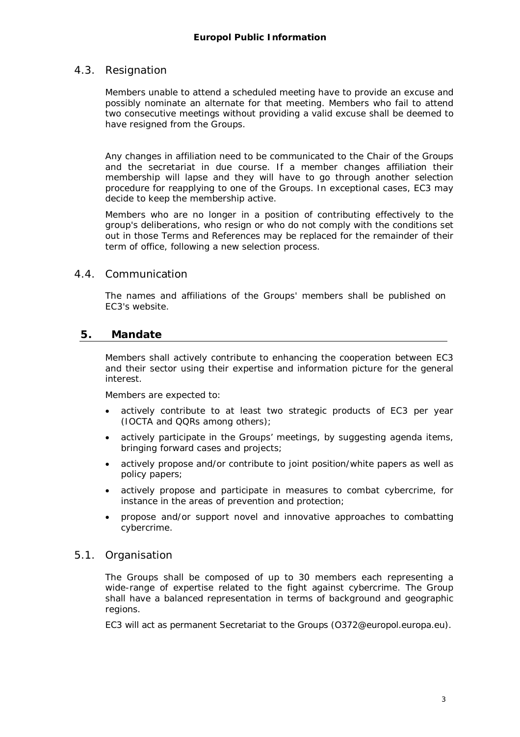#### 4.3. Resignation

Members unable to attend a scheduled meeting have to provide an excuse and possibly nominate an alternate for that meeting. Members who fail to attend two consecutive meetings without providing a valid excuse shall be deemed to have resigned from the Groups.

Any changes in affiliation need to be communicated to the Chair of the Groups and the secretariat in due course. If a member changes affiliation their membership will lapse and they will have to go through another selection procedure for reapplying to one of the Groups. In exceptional cases, EC3 may decide to keep the membership active.

Members who are no longer in a position of contributing effectively to the group's deliberations, who resign or who do not comply with the conditions set out in those Terms and References may be replaced for the remainder of their term of office, following a new selection process.

#### 4.4. Communication

The names and affiliations of the Groups' members shall be published on EC3's website.

#### **5. Mandate**

Members shall actively contribute to enhancing the cooperation between EC3 and their sector using their expertise and information picture for the general interest.

Members are expected to:

- actively contribute to at least two strategic products of EC3 per year (IOCTA and QQRs among others);
- actively participate in the Groups' meetings, by suggesting agenda items, bringing forward cases and projects;
- actively propose and/or contribute to joint position/white papers as well as policy papers;
- actively propose and participate in measures to combat cybercrime, for instance in the areas of prevention and protection;
- propose and/or support novel and innovative approaches to combatting cybercrime.

#### 5.1. Organisation

The Groups shall be composed of up to 30 members each representing a wide-range of expertise related to the fight against cybercrime. The Group shall have a balanced representation in terms of background and geographic regions.

EC3 will act as permanent Secretariat to the Groups [\(O372@europol.europa.eu\).](mailto:(O372@europol.europa.eu).)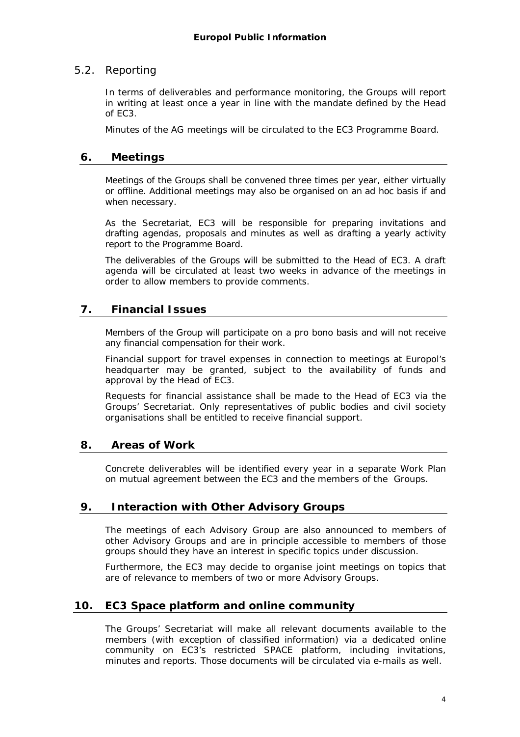#### 5.2. Reporting

In terms of deliverables and performance monitoring, the Groups will report in writing at least once a year in line with the mandate defined by the Head of EC3.

Minutes of the AG meetings will be circulated to the EC3 Programme Board.

#### **6. Meetings**

Meetings of the Groups shall be convened three times per year, either virtually or offline. Additional meetings may also be organised on an *ad hoc* basis if and when necessary.

As the Secretariat, EC3 will be responsible for preparing invitations and drafting agendas, proposals and minutes as well as drafting a yearly activity report to the Programme Board.

The deliverables of the Groups will be submitted to the Head of EC3. A draft agenda will be circulated at least two weeks in advance of the meetings in order to allow members to provide comments.

# **7. Financial Issues**

Members of the Group will participate on a *pro bono* basis and will not receive any financial compensation for their work.

Financial support for travel expenses in connection to meetings at Europol's headquarter may be granted, subject to the availability of funds and approval by the Head of EC3.

Requests for financial assistance shall be made to the Head of EC3 via the Groups' Secretariat. Only representatives of public bodies and civil society organisations shall be entitled to receive financial support.

# **8. Areas of Work**

Concrete deliverables will be identified every year in a separate Work Plan on mutual agreement between the EC3 and the members of the Groups.

#### **9. Interaction with Other Advisory Groups**

The meetings of each Advisory Group are also announced to members of other Advisory Groups and are in principle accessible to members of those groups should they have an interest in specific topics under discussion.

Furthermore, the EC3 may decide to organise joint meetings on topics that are of relevance to members of two or more Advisory Groups.

# **10. EC3 Space platform and online community**

The Groups' Secretariat will make all relevant documents available to the members (with exception of classified information) via a dedicated online community on EC3's restricted SPACE platform, including invitations, minutes and reports. Those documents will be circulated via e-mails as well.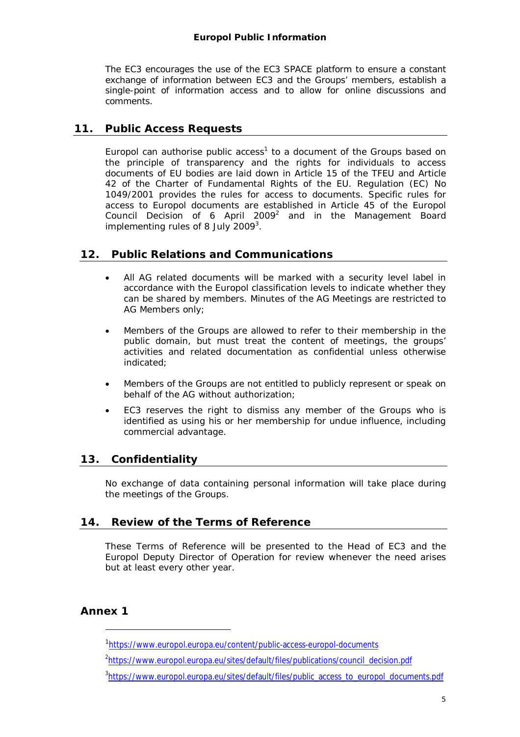#### **Europol Public Information**

The EC3 encourages the use of the EC3 SPACE platform to ensure a constant exchange of information between EC3 and the Groups' members, establish a single-point of information access and to allow for online discussions and comments.

# **11. Public Access Requests**

Europol can authorise public  $access<sup>1</sup>$  to a document of the Groups based on the principle of transparency and the rights for individuals to access documents of EU bodies are laid down in Article 15 of the TFEU and Article 42 of the Charter of Fundamental Rights of the EU. Regulation (EC) No 1049/2001 provides the rules for access to documents. Specific rules for access to Europol documents are established in Article 45 of the Europol Council Decision of 6 April 2009 $^2$  and in the Management Board implementing rules of 8 July 2009 $^3$ .

# **12. Public Relations and Communications**

- All AG related documents will be marked with a security level label in accordance with the Europol classification levels to indicate whether they can be shared by members. Minutes of the AG Meetings are restricted to AG Members only;
- Members of the Groups are allowed to refer to their membership in the public domain, but must treat the content of meetings, the groups' activities and related documentation as confidential unless otherwise indicated;
- Members of the Groups are not entitled to publicly represent or speak on behalf of the AG without authorization;
- EC3 reserves the right to dismiss any member of the Groups who is identified as using his or her membership for undue influence, including commercial advantage.

# **13. Confidentiality**

No exchange of data containing personal information will take place during the meetings of the Groups.

# **14. Review of the Terms of Reference**

These Terms of Reference will be presented to the Head of EC3 and the Europol Deputy Director of Operation for review whenever the need arises but at least every other year.

# **Annex 1**

i,

<sup>1</sup> <https://www.europol.europa.eu/content/public-access-europol-documents>

<sup>&</sup>lt;sup>2</sup>[https://www.europol.europa.eu/sites/default/files/publications/council\\_decision.pdf](https://www.europol.europa.eu/sites/default/files/publications/council_decision.pdf)

<sup>&</sup>lt;sup>3</sup>[https://www.europol.europa.eu/sites/default/files/public\\_access\\_to\\_europol\\_documents.pdf](https://www.europol.europa.eu/sites/default/files/public_access_to_europol_documents.pdf)